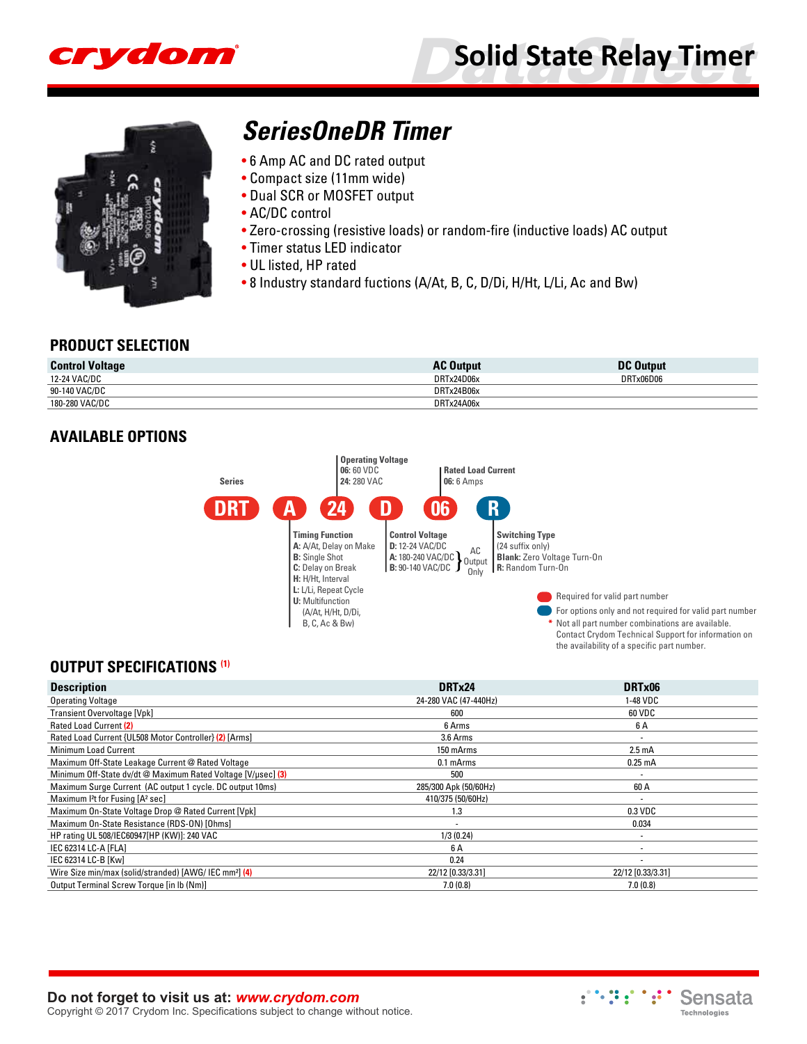

# **Solid State Relay Timer**



# **[SeriesOneDR Timer](http://www.crydom.com/en/products/solid-state-relay-timers/dc-output/s1dr-timer-series/)**

- 6 Amp AC and DC rated output
- Compact size (11mm wide)
- Dual SCR or MOSFET output
- AC/DC control
- Zero-crossing (resistive loads) or random-fire (inductive loads) AC output
- Timer status LED indicator
- UL listed, HP rated
- 8 Industry standard fuctions (A/At, B, C, D/Di, H/Ht, L/Li, Ac and Bw)

#### **PRODUCT SELECTION**

| <b>Control Voltage</b> | <b>AC Output</b> | <b>DC Output</b> |
|------------------------|------------------|------------------|
| 12-24 VAC/DC           | DRTx24D06x       | DRTx06D06        |
| 90-140 VAC/DC          | DRTx24B06x       |                  |
| 180-280 VAC/DC         | DRTx24A06x       |                  |

#### **AVAILABLE OPTIONS**



#### **OUTPUT SPECIFICATIONS (1)**

| <b>Description</b>                                                 | DRTx24                | DRTx06             |
|--------------------------------------------------------------------|-----------------------|--------------------|
| <b>Operating Voltage</b>                                           | 24-280 VAC (47-440Hz) | 1-48 VDC           |
| Transient Overvoltage [Vpk]                                        | 600                   | 60 VDC             |
| Rated Load Current (2)                                             | 6 Arms                | 6 A                |
| Rated Load Current {UL508 Motor Controller} (2) [Arms]             | 3.6 Arms              |                    |
| Minimum Load Current                                               | 150 mArms             | 2.5 <sub>m</sub> A |
| Maximum Off-State Leakage Current @ Rated Voltage                  | 0.1 mArms             | $0.25 \text{ mA}$  |
| Minimum Off-State dv/dt @ Maximum Rated Voltage [V/usec] (3)       | 500                   |                    |
| Maximum Surge Current (AC output 1 cycle. DC output 10ms)          | 285/300 Apk (50/60Hz) | 60 A               |
| Maximum I <sup>2</sup> t for Fusing [A <sup>2</sup> sec]           | 410/375 (50/60Hz)     | ۰                  |
| Maximum On-State Voltage Drop @ Rated Current [Vpk]                | 1.3                   | $0.3$ VDC          |
| Maximum On-State Resistance (RDS-ON) [Ohms]                        |                       | 0.034              |
| HP rating UL 508/IEC60947 [HP (KW)]: 240 VAC                       | 1/3(0.24)             | ۰                  |
| IEC 62314 LC-A [FLA]                                               | 6 A                   |                    |
| IEC 62314 LC-B [Kw]                                                | 0.24                  |                    |
| Wire Size min/max (solid/stranded) [AWG/ IEC mm <sup>2</sup> ] (4) | 22/12 [0.33/3.31]     | 22/12 [0.33/3.31]  |
| Output Terminal Screw Torque [in lb (Nm)]                          | 7.0(0.8)              | 7.0(0.8)           |

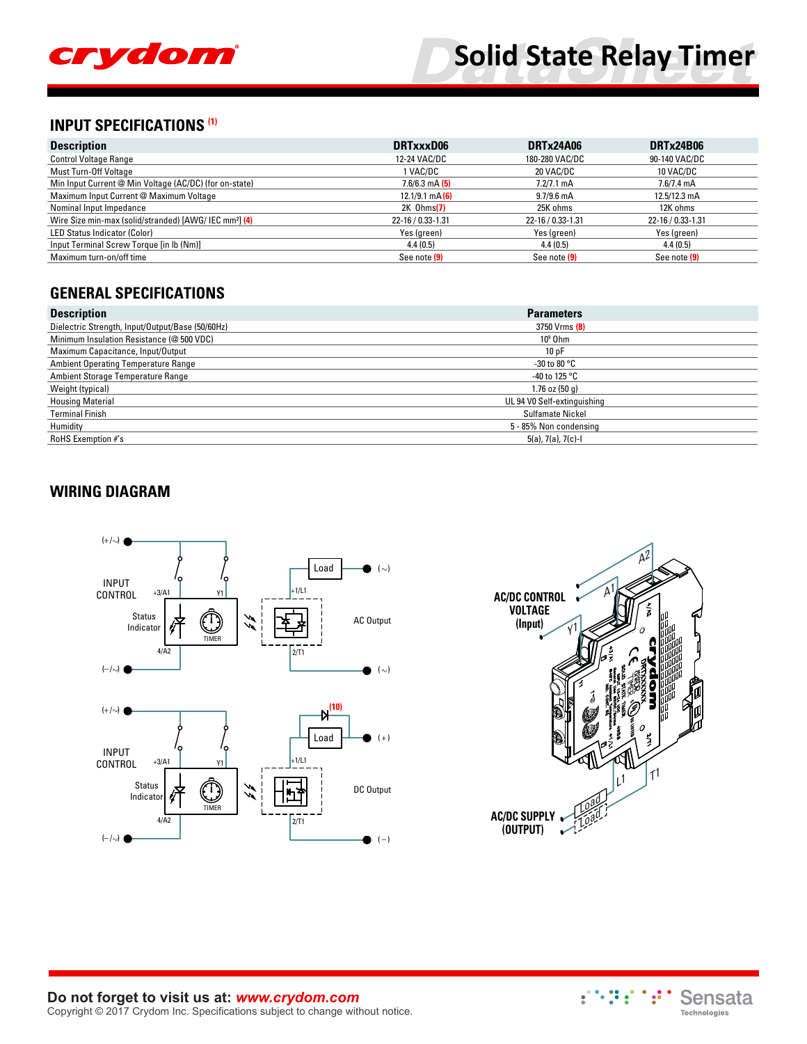

## **INPUT SPECIFICATIONS (1)**

| <b>Description</b>                                                 | DRTxxxD06           | DRTx24A06            | <b>DRTx24B06</b>     |  |
|--------------------------------------------------------------------|---------------------|----------------------|----------------------|--|
| <b>Control Voltage Range</b>                                       | 12-24 VAC/DC        | 180-280 VAC/DC       | 90-140 VAC/DC        |  |
| Must Turn-Off Voltage                                              | 1 VAC/DC            | 20 VAC/DC            | 10 VAC/DC            |  |
| Min Input Current @ Min Voltage (AC/DC) (for on-state)             | $7.6/6.3$ mA $(5)$  | $7.2/7.1 \text{ mA}$ | $7.6/7.4 \text{ mA}$ |  |
| Maximum Input Current @ Maximum Voltage                            | $12.1/9.1$ mA $(6)$ | $9.7/9.6$ mA         | 12.5/12.3 mA         |  |
| Nominal Input Impedance                                            | $2K$ Ohms $(7)$     | 25K ohms             | 12K ohms             |  |
| Wire Size min-max (solid/stranded) [AWG/ IEC mm <sup>2</sup> ] (4) | 22-16 / 0.33-1.31   | 22-16 / 0.33-1.31    | 22-16 / 0.33-1.31    |  |
| <b>LED Status Indicator (Color)</b>                                | Yes (green)         | Yes (green)          | Yes (green)          |  |
| Input Terminal Screw Torque [in lb (Nm)]                           | 4.4(0.5)            | 4.4(0.5)             | 4.4(0.5)             |  |
| Maximum turn-on/off time                                           | See note (9)        | See note (9)         | See note (9)         |  |

## **GENERAL SPECIFICATIONS**

| <b>Description</b>                               | <b>Parameters</b>           |
|--------------------------------------------------|-----------------------------|
| Dielectric Strength, Input/Output/Base (50/60Hz) | 3750 Vrms (8)               |
| Minimum Insulation Resistance (@ 500 VDC)        | $10^9$ Ohm                  |
| Maximum Capacitance, Input/Output                | 10pF                        |
| <b>Ambient Operating Temperature Range</b>       | -30 to 80 °C                |
| Ambient Storage Temperature Range                | -40 to 125 $\degree$ C      |
| Weight (typical)                                 | 1.76 oz $(50q)$             |
| <b>Housing Material</b>                          | UL 94 V0 Self-extinguishing |
| <b>Terminal Finish</b>                           | Sulfamate Nickel            |
| Humidity                                         | 5 - 85% Non condensing      |
| RoHS Exemption #'s                               | 5(a), 7(a), 7(c)-l          |

## **WIRING DIAGRAM**





#### **Do not forget to visit us at:** *[www.crydom.com](http://www.crydom.com/)* Copyright © 2017 Crydom Inc. Specifications subject to change without notice.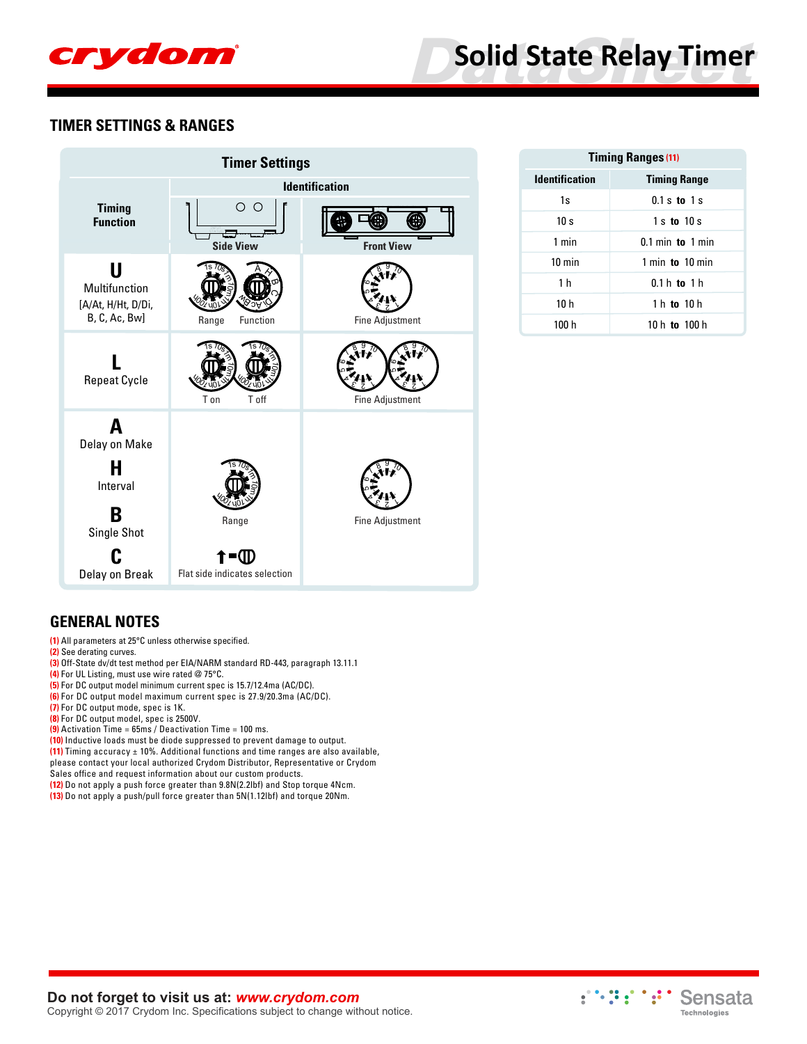

#### **TIMER SETTINGS & RANGES**

| <b>Timer Settings</b>                                     |                                     |                        |  |  |  |  |
|-----------------------------------------------------------|-------------------------------------|------------------------|--|--|--|--|
|                                                           |                                     | <b>Identification</b>  |  |  |  |  |
| <b>Timing</b><br><b>Function</b>                          | $\circ$ $\circ$<br><b>Side View</b> | <b>Front View</b>      |  |  |  |  |
| U<br>Multifunction<br>[A/At, H/Ht, D/Di,<br>B, C, Ac, Bw] | Function<br>Range                   | <b>Fine Adjustment</b> |  |  |  |  |
| <b>Repeat Cycle</b>                                       | T on<br>T off                       | <b>Fine Adjustment</b> |  |  |  |  |
| A<br>Delay on Make<br>н<br>Interval                       |                                     |                        |  |  |  |  |
| B<br>Single Shot                                          | Range                               | <b>Fine Adjustment</b> |  |  |  |  |
| Delay on Break                                            | =u<br>Flat side indicates selection |                        |  |  |  |  |

| <b>Timing Ranges (11)</b> |                           |  |  |  |
|---------------------------|---------------------------|--|--|--|
| <b>Identification</b>     | <b>Timing Range</b>       |  |  |  |
| 1s                        | $0.1 s$ to $1 s$          |  |  |  |
| 10 <sub>s</sub>           | $1 s$ to $10 s$           |  |  |  |
| 1 min                     | $0.1$ min to $1$ min      |  |  |  |
| $10 \text{ min}$          | 1 min $\,$ to $\,$ 10 min |  |  |  |
| 1 <sub>h</sub>            | $0.1 h$ to 1 h            |  |  |  |
| 10 <sub>h</sub>           | 1 h to 10 h               |  |  |  |
| 100 h                     | 10 h to 100 h             |  |  |  |

#### **GENERAL NOTES**

- **(1)** All parameters at 25°C unless otherwise specified.
- **(2)** See derating curves.
- **(3)** Off-State dv/dt test method per EIA/NARM standard RD-443, paragraph 13.11.1
- **(4)** For UL Listing, must use wire rated @ 75°C.
- **(5)** For DC output model minimum current spec is 15.7/12.4ma (AC/DC).
- **(6)** For DC output model maximum current spec is 27.9/20.3ma (AC/DC).
- **(7)** For DC output mode, spec is 1K.
- **(8)** For DC output model, spec is 2500V.
- **(9)** Activation Time = 65ms / Deactivation Time = 100 ms.
- **(10)** Inductive loads must be diode suppressed to prevent damage to output.
- **(11)** Timing accuracy ± 10%. Additional functions and time ranges are also available, please contact your local authorized Crydom Distributor, Representative or Crydom
- Sales office and request information about our custom products.
- **(12)** Do not apply a push force greater than 9.8N(2.2lbf) and Stop torque 4Ncm.
- **(13)** Do not apply a push/pull force greater than 5N(1.12lbf) and torque 20Nm.

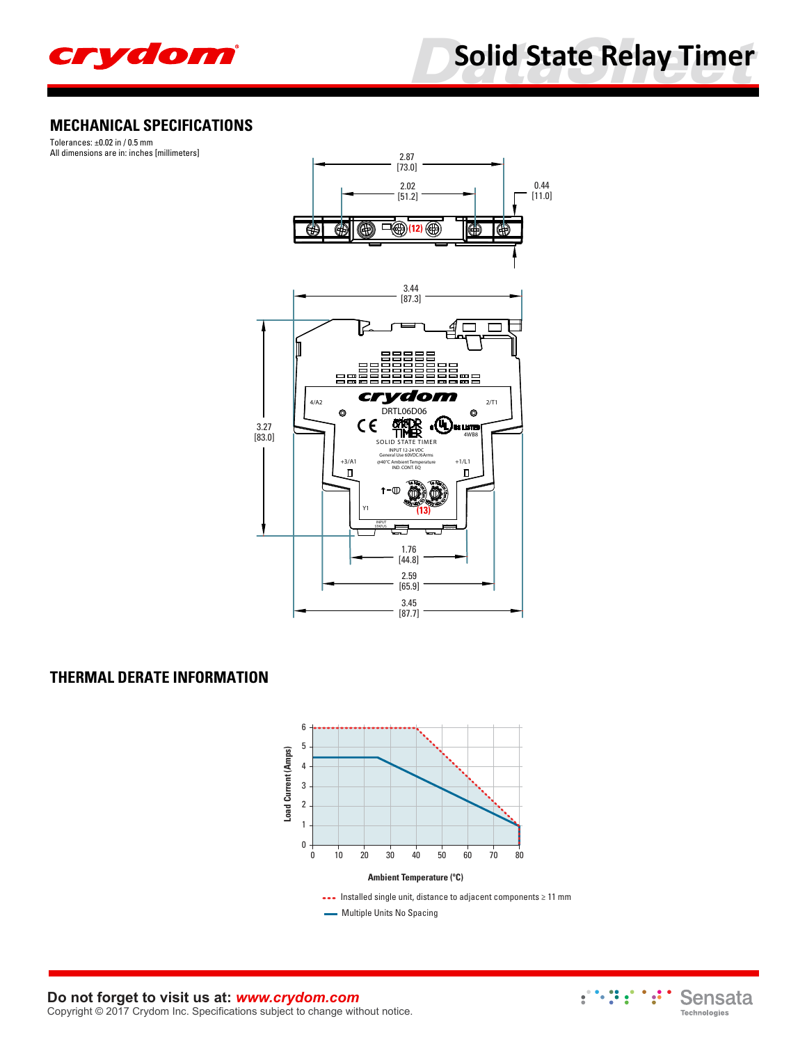

# **Solid State Relay Timer**

## **MECHANICAL SPECIFICATIONS**

Tolerances: ±0.02 in / 0.5 mm All dimensions are in: inches [millimeters]



#### **THERMAL DERATE INFORMATION**



**Do not forget to visit us at:** *[www.crydom.com](http://www.crydom.com/)* Copyright © 2017 Crydom Inc. Specifications subject to change without notice.

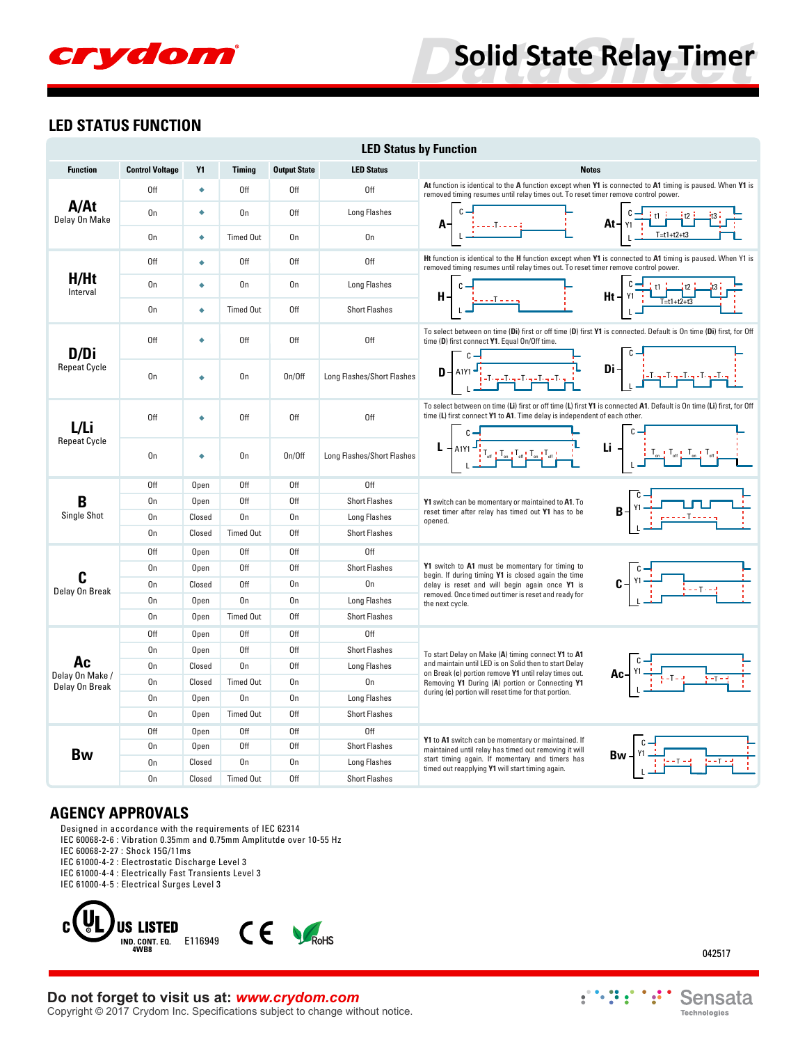# crydom

# **Solid State Relay Timer**

#### **LED STATUS FUNCTION**

| <b>LED Status by Function</b>    |                        |           |                  |                     |                            |                                                                                                                                                                                                                                                                                                                                                                                                                                                                                                                                                                        |  |
|----------------------------------|------------------------|-----------|------------------|---------------------|----------------------------|------------------------------------------------------------------------------------------------------------------------------------------------------------------------------------------------------------------------------------------------------------------------------------------------------------------------------------------------------------------------------------------------------------------------------------------------------------------------------------------------------------------------------------------------------------------------|--|
| <b>Function</b>                  | <b>Control Voltage</b> | <b>Y1</b> | <b>Timina</b>    | <b>Output State</b> | <b>LED Status</b>          | <b>Notes</b>                                                                                                                                                                                                                                                                                                                                                                                                                                                                                                                                                           |  |
|                                  | 0ff                    | ٠         | 0ff              | 0ff                 | 0ff                        | At function is identical to the A function except when Y1 is connected to A1 timing is paused. When Y1 is<br>removed timing resumes until relay times out. To reset timer remove control power.                                                                                                                                                                                                                                                                                                                                                                        |  |
| A/At<br>Delay On Make            | 0 <sub>n</sub>         | ٠         | 0n               | 0ff                 | <b>Long Flashes</b>        | $At + y_1$                                                                                                                                                                                                                                                                                                                                                                                                                                                                                                                                                             |  |
|                                  | On                     | ٠         | <b>Timed Out</b> | 0 <sub>n</sub>      | 0n                         | $T=t1+t2+t3$                                                                                                                                                                                                                                                                                                                                                                                                                                                                                                                                                           |  |
|                                  | 0ff                    | ٠         | 0ff              | 0ff                 | 0ff                        | Ht function is identical to the H function except when Y1 is connected to A1 timing is paused. When Y1 is<br>removed timing resumes until relay times out. To reset timer remove control power.                                                                                                                                                                                                                                                                                                                                                                        |  |
| H/Ht<br>Interval                 | On                     | ٠         | 0n               | 0 <sub>n</sub>      | <b>Long Flashes</b>        | $Ht + \gamma_1$<br>н-<br>$T = t1 + t2 + t3$                                                                                                                                                                                                                                                                                                                                                                                                                                                                                                                            |  |
|                                  | On                     | ٠         | <b>Timed Out</b> | 0ff                 | <b>Short Flashes</b>       |                                                                                                                                                                                                                                                                                                                                                                                                                                                                                                                                                                        |  |
| D/Di                             | 0ff                    | ٠         | 0ff              | 0ff                 | 0ff                        | To select between on time (Di) first or off time (D) first Y1 is connected. Default is On time (Di) first, for Off<br>time (D) first connect Y1. Equal On/Off time.                                                                                                                                                                                                                                                                                                                                                                                                    |  |
| <b>Repeat Cycle</b>              | On                     | ٠         | On               | On/Off              | Long Flashes/Short Flashes | $\mathbf{D} = \begin{bmatrix} A1Y1 & \mathbf{J}^{\dagger} & \mathbf{J}^{\dagger} & \mathbf{J}^{\dagger} \\ \mathbf{J}^{\dagger} & \mathbf{J}^{\dagger} & \mathbf{J}^{\dagger} & \mathbf{J}^{\dagger} & \mathbf{J}^{\dagger} \\ \mathbf{J}^{\dagger} & \mathbf{J}^{\dagger} & \mathbf{J}^{\dagger} & \mathbf{J}^{\dagger} & \mathbf{J}^{\dagger} \\ \end{bmatrix}$<br>Di                                                                                                                                                                                                |  |
| L/Li                             | 0ff                    | ٠         | 0ff              | 0ff                 | 0ff                        | To select between on time (Li) first or off time (L) first Y1 is connected A1. Default is On time (Li) first, for Off<br>time (L) first connect Y1 to A1. Time delay is independent of each other.                                                                                                                                                                                                                                                                                                                                                                     |  |
| <b>Repeat Cycle</b>              | On                     | ٠         | On               | On/Off              | Long Flashes/Short Flashes | $\mathsf{Li}_{\mathbb{Q}}%{{\mathbb{Q}}}\left( \mathsf{a},\mathsf{b}\right) \left( \mathsf{c},\mathsf{b}\right) = \mathsf{Li}_{\mathbb{Q}}{\left( \mathsf{c},\mathsf{b}\right) }%{{\mathbb{Q}}}\left( \mathsf{c},\mathsf{b}\right) = \mathsf{Li}_{\mathbb{Q}}{\left( \mathsf{c},\mathsf{b}\right) }%{{\mathbb{Q}}}\left( \mathsf{c},\mathsf{b}\right) = \mathsf{Li}_{\mathbb{Q}}{\left( \mathsf{c},\mathsf{b}\right) }%{{\mathbb{Q}}}\left( \mathsf{c},\mathsf{b}\$<br>▕▁ <del>▏▔<sub>៰៰</sub>▁▏</del> ▔ <sub>៰ᢚ</sub> ▕▁ <u>▔៰៰▝</u> ▏ <sup></sup> ▔៰ᢚ <mark>▕</mark> |  |
|                                  | 0ff                    | Open      | 0ff              | 0ff                 | 0ff                        |                                                                                                                                                                                                                                                                                                                                                                                                                                                                                                                                                                        |  |
| B                                | On                     | Open      | 0ff              | 0ff                 | <b>Short Flashes</b>       | Y1 switch can be momentary or maintained to A1. To                                                                                                                                                                                                                                                                                                                                                                                                                                                                                                                     |  |
| Single Shot                      | On                     | Closed    | On               | 0 <sub>n</sub>      | Long Flashes               | reset timer after relay has timed out Y1 has to be<br>opened.                                                                                                                                                                                                                                                                                                                                                                                                                                                                                                          |  |
|                                  | 0 <sub>n</sub>         | Closed    | <b>Timed Out</b> | 0ff                 | <b>Short Flashes</b>       |                                                                                                                                                                                                                                                                                                                                                                                                                                                                                                                                                                        |  |
|                                  | 0ff                    | Open      | 0ff              | 0ff                 | 0ff                        |                                                                                                                                                                                                                                                                                                                                                                                                                                                                                                                                                                        |  |
|                                  | 0 <sub>n</sub>         | Open      | 0ff              | 0ff                 | <b>Short Flashes</b>       | Y1 switch to A1 must be momentary for timing to<br>begin. If during timing Y1 is closed again the time                                                                                                                                                                                                                                                                                                                                                                                                                                                                 |  |
| C                                | On                     | Closed    | 0ff              | 0 <sub>n</sub>      | 0n                         | delay is reset and will begin again once Y1 is                                                                                                                                                                                                                                                                                                                                                                                                                                                                                                                         |  |
| Delay On Break                   | 0 <sub>n</sub>         | Open      | 0n               | 0 <sub>n</sub>      | Long Flashes               | removed. Once timed out timer is reset and ready for<br>the next cycle.                                                                                                                                                                                                                                                                                                                                                                                                                                                                                                |  |
|                                  | On                     | Open      | <b>Timed Out</b> | 0ff                 | <b>Short Flashes</b>       |                                                                                                                                                                                                                                                                                                                                                                                                                                                                                                                                                                        |  |
|                                  | 0ff                    | Open      | 0ff              | 0ff                 | 0ff                        |                                                                                                                                                                                                                                                                                                                                                                                                                                                                                                                                                                        |  |
|                                  | On                     | Open      | Off              | Off                 | <b>Short Flashes</b>       | To start Delay on Make (A) timing connect Y1 to A1                                                                                                                                                                                                                                                                                                                                                                                                                                                                                                                     |  |
| Ac                               | On                     | Closed    | On               | 0ff                 | Long Flashes               | and maintain until LED is on Solid then to start Delay<br>on Break (c) portion remove Y1 until relay times out.                                                                                                                                                                                                                                                                                                                                                                                                                                                        |  |
| Delay On Make/<br>Delay On Break | On                     | Closed    | <b>Timed Out</b> | 0 <sub>n</sub>      | 0 <sub>n</sub>             | Removing Y1 During (A) portion or Connecting Y1                                                                                                                                                                                                                                                                                                                                                                                                                                                                                                                        |  |
|                                  | On                     | Open      | On               | 0 <sub>n</sub>      | <b>Long Flashes</b>        | during (c) portion will reset time for that portion.                                                                                                                                                                                                                                                                                                                                                                                                                                                                                                                   |  |
|                                  | 0n                     | Open      | <b>Timed Out</b> | 0ff                 | <b>Short Flashes</b>       |                                                                                                                                                                                                                                                                                                                                                                                                                                                                                                                                                                        |  |
|                                  | 0ff                    | Open      | 0ff              | Off                 | 0ff                        |                                                                                                                                                                                                                                                                                                                                                                                                                                                                                                                                                                        |  |
|                                  | 0 <sub>n</sub>         | Open      | 0ff              | 0ff                 | <b>Short Flashes</b>       | Y1 to A1 switch can be momentary or maintained. If<br>maintained until relay has timed out removing it will                                                                                                                                                                                                                                                                                                                                                                                                                                                            |  |
| Bw                               | On                     | Closed    | 0n               | 0 <sub>n</sub>      | Long Flashes               | start timing again. If momentary and timers has<br>timed out reapplying Y1 will start timing again.                                                                                                                                                                                                                                                                                                                                                                                                                                                                    |  |
|                                  | 0 <sub>n</sub>         | Closed    | <b>Timed Out</b> | 0ff                 | <b>Short Flashes</b>       |                                                                                                                                                                                                                                                                                                                                                                                                                                                                                                                                                                        |  |

#### **AGENCY APPROVALS**

Designed in accordance with the requirements of IEC 62314

- IEC 60068-2-6 : Vibration 0.35mm and 0.75mm Amplitutde over 10-55 Hz
- IEC 60068-2-27 : Shock 15G/11ms
- IEC 61000-4-2 : Electrostatic Discharge Level 3
- IEC 61000-4-4 : Electrically Fast Transients Level 3
- IEC 61000-4-5 : Electrical Surges Level 3



## **Do not forget to visit us at:** *[www.crydom.com](http://www.crydom.com/)*

Copyright © 2017 Crydom Inc. Specifications subject to change without notice.

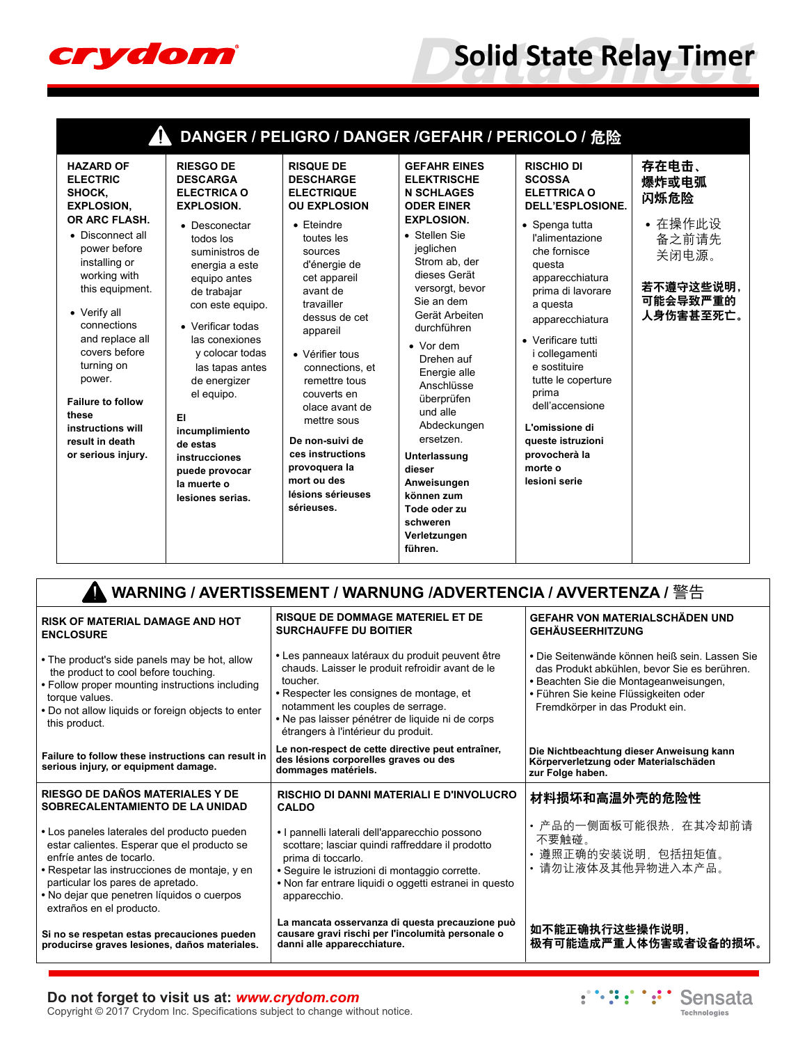

# **Solid State Relay Timer**

| 存在电击、<br><b>GEFAHR EINES</b><br><b>RISCHIO DI</b><br><b>HAZARD OF</b><br><b>RIESGO DE</b><br><b>RISQUE DE</b><br><b>SCOSSA</b><br><b>ELECTRIC</b><br><b>DESCARGA</b><br><b>DESCHARGE</b><br><b>ELEKTRISCHE</b><br>爆炸或电弧<br><b>ELETTRICA O</b><br>SHOCK,<br><b>ELECTRICA O</b><br><b>ELECTRIQUE</b><br><b>N SCHLAGES</b><br>闪烁危险<br><b>DELL'ESPLOSIONE.</b><br><b>EXPLOSION.</b><br><b>EXPLOSION.</b><br><b>OU EXPLOSION</b><br><b>ODER EINER</b><br>OR ARC FLASH.<br><b>EXPLOSION.</b><br>• 在操作此设<br>• Spenga tutta<br>$\bullet$ Eteindre<br>• Desconectar<br>• Stellen Sie<br>• Disconnect all<br>l'alimentazione<br>备之前请先<br>toutes les<br>todos los<br>power before<br>jeglichen<br>che fornisce<br>suministros de<br>sources<br>关闭电源。<br>Strom ab, der<br>installing or<br>d'énergie de<br>questa<br>energia a este<br>dieses Gerät<br>working with<br>cet appareil<br>apparecchiatura<br>equipo antes<br>versorgt, bevor<br>this equipment.<br>prima di lavorare<br>avant de<br>de trabajar<br>Sie an dem<br>travailler<br>a questa<br>con este equipo.<br>• Verify all<br>Gerät Arbeiten<br>dessus de cet<br>apparecchiatura<br>connections<br>• Verificar todas<br>durchführen<br>appareil<br>and replace all<br>las conexiones<br>• Verificare tutti<br>$\bullet$ Vor dem<br>covers before<br>y colocar todas<br>• Vérifier tous<br>i collegamenti<br>Drehen auf<br>turning on<br>e sostituire<br>las tapas antes<br>connections, et<br>Energie alle<br>power.<br>de energizer<br>tutte le coperture<br>remettre tous<br>Anschlüsse<br>prima<br>el equipo.<br>couverts en<br>überprüfen<br><b>Failure to follow</b><br>dell'accensione<br>olace avant de | DANGER / PELIGRO / DANGER /GEFAHR / PERICOLO / 危险 |  |  |          |  |                                    |  |
|------------------------------------------------------------------------------------------------------------------------------------------------------------------------------------------------------------------------------------------------------------------------------------------------------------------------------------------------------------------------------------------------------------------------------------------------------------------------------------------------------------------------------------------------------------------------------------------------------------------------------------------------------------------------------------------------------------------------------------------------------------------------------------------------------------------------------------------------------------------------------------------------------------------------------------------------------------------------------------------------------------------------------------------------------------------------------------------------------------------------------------------------------------------------------------------------------------------------------------------------------------------------------------------------------------------------------------------------------------------------------------------------------------------------------------------------------------------------------------------------------------------------------------------------------------------------------------------------------------------------------------------------------------------|---------------------------------------------------|--|--|----------|--|------------------------------------|--|
| EI<br>mettre sous<br>Abdeckungen<br>L'omissione di<br>instructions will<br>incumplimiento<br>ersetzen<br>De non-suivi de<br>queste istruzioni<br>result in death<br>de estas<br>ces instructions<br>provocherà la<br>or serious injury.<br>Unterlassung<br>instrucciones<br>provoquera la<br>morte o<br>dieser<br>puede provocar<br>mort ou des<br>lesioni serie<br>Anweisungen<br>la muerte o<br>lésions sérieuses<br>können zum<br>lesiones serias.<br>sérieuses.<br>Tode oder zu<br>schweren<br>Verletzungen<br>führen.                                                                                                                                                                                                                                                                                                                                                                                                                                                                                                                                                                                                                                                                                                                                                                                                                                                                                                                                                                                                                                                                                                                                       | these                                             |  |  | und alle |  | 若不遵守这些说明,<br>可能会导致严重的<br>人身伤害甚至死亡。 |  |

| RISK OF MATERIAL DAMAGE AND HOT<br><b>ENCLOSURE</b>                                                                                                                                                                                                                                    | <b>RISQUE DE DOMMAGE MATERIEL ET DE</b><br><b>SURCHAUFFE DU BOITIER</b>                                                                                                                                                                                                                     | GEFAHR VON MATERIALSCHÄDEN UND<br><b>GEHÄUSEERHITZUNG</b>                                                                                                                                                            |
|----------------------------------------------------------------------------------------------------------------------------------------------------------------------------------------------------------------------------------------------------------------------------------------|---------------------------------------------------------------------------------------------------------------------------------------------------------------------------------------------------------------------------------------------------------------------------------------------|----------------------------------------------------------------------------------------------------------------------------------------------------------------------------------------------------------------------|
| • The product's side panels may be hot, allow<br>the product to cool before touching.<br>• Follow proper mounting instructions including<br>torque values.<br>. Do not allow liquids or foreign objects to enter<br>this product.                                                      | • Les panneaux latéraux du produit peuvent être<br>chauds. Laisser le produit refroidir avant de le<br>toucher.<br>• Respecter les consignes de montage, et<br>notamment les couples de serrage.<br>• Ne pas laisser pénétrer de liquide ni de corps<br>étrangers à l'intérieur du produit. | • Die Seitenwände können heiß sein. Lassen Sie<br>das Produkt abkühlen, bevor Sie es berühren.<br>• Beachten Sie die Montageanweisungen,<br>• Führen Sie keine Flüssigkeiten oder<br>Fremdkörper in das Produkt ein. |
| Failure to follow these instructions can result in<br>serious injury, or equipment damage.                                                                                                                                                                                             | Le non-respect de cette directive peut entraîner,<br>des lésions corporelles graves ou des<br>dommages matériels.                                                                                                                                                                           | Die Nichtbeachtung dieser Anweisung kann<br>Körperverletzung oder Materialschäden<br>zur Folge haben.                                                                                                                |
| RIESGO DE DAÑOS MATERIALES Y DE<br>SOBRECALENTAMIENTO DE LA UNIDAD                                                                                                                                                                                                                     | <b>RISCHIO DI DANNI MATERIALI E D'INVOLUCRO</b><br><b>CALDO</b>                                                                                                                                                                                                                             | 材料损坏和高温外壳的危险性                                                                                                                                                                                                        |
| • Los paneles laterales del producto pueden<br>estar calientes. Esperar que el producto se<br>enfríe antes de tocarlo.<br>• Respetar las instrucciones de montaje, y en<br>particular los pares de apretado.<br>• No dejar que penetren líquidos o cuerpos<br>extraños en el producto. | • I pannelli laterali dell'apparecchio possono<br>scottare; lasciar quindi raffreddare il prodotto<br>prima di toccarlo.<br>· Seguire le istruzioni di montaggio corrette.<br>• Non far entrare liquidi o oggetti estranei in questo<br>apparecchio.                                        | • 产品的一侧面板可能很热,在其冷却前请<br>不要触碰。<br>遵照正确的安装说明,包括扭矩值。<br>请勿让液体及其他异物进入本产品。                                                                                                                                                |
| Si no se respetan estas precauciones pueden<br>producirse graves lesiones, daños materiales.                                                                                                                                                                                           | La mancata osservanza di questa precauzione può<br>causare gravi rischi per l'incolumità personale o<br>danni alle apparecchiature.                                                                                                                                                         | 如不能正确执行这些操作说明,<br>极有可能造成严重人体伤害或者设备的损坏。                                                                                                                                                                               |

#### **Do not forget to visit us at:** *[www.crydom.com](http://www.crydom.com/)*

Copyright © 2017 Crydom Inc. Specifications subject to change without notice.